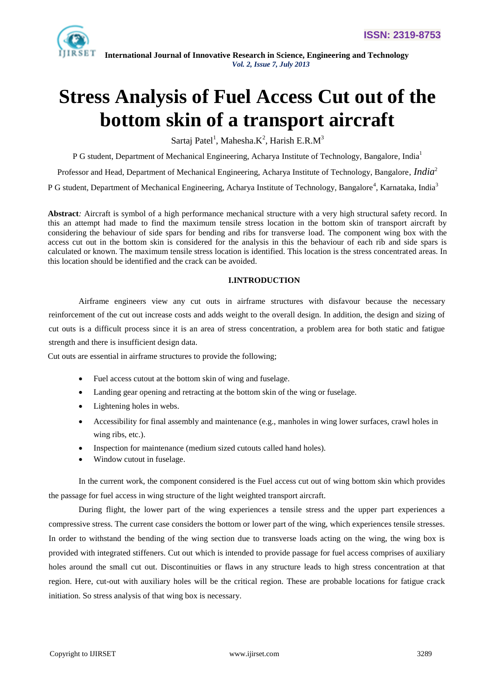

# **Stress Analysis of Fuel Access Cut out of the bottom skin of a transport aircraft**

Sartaj Patel<sup>1</sup>, Mahesha. $K^2$ , Harish E.R.M<sup>3</sup>

P G student, Department of Mechanical Engineering, Acharya Institute of Technology, Bangalore, India<sup>1</sup>

Professor and Head, Department of Mechanical Engineering, Acharya Institute of Technology, Bangalore, *India*<sup>2</sup>

P G student, Department of Mechanical Engineering, Acharya Institute of Technology, Bangalore<sup>4</sup>, Karnataka, India<sup>3</sup>

**Abstract***:* Aircraft is symbol of a high performance mechanical structure with a very high structural safety record. In this an attempt had made to find the maximum tensile stress location in the bottom skin of transport aircraft by considering the behaviour of side spars for bending and ribs for transverse load. The component wing box with the access cut out in the bottom skin is considered for the analysis in this the behaviour of each rib and side spars is calculated or known. The maximum tensile stress location is identified. This location is the stress concentrated areas. In this location should be identified and the crack can be avoided.

#### **I.INTRODUCTION**

Airframe engineers view any cut outs in airframe structures with disfavour because the necessary reinforcement of the cut out increase costs and adds weight to the overall design. In addition, the design and sizing of cut outs is a difficult process since it is an area of stress concentration, a problem area for both static and fatigue strength and there is insufficient design data.

Cut outs are essential in airframe structures to provide the following;

- Fuel access cutout at the bottom skin of wing and fuselage.
- Landing gear opening and retracting at the bottom skin of the wing or fuselage.
- Lightening holes in webs.
- Accessibility for final assembly and maintenance (e.g., manholes in wing lower surfaces, crawl holes in wing ribs, etc.).
- Inspection for maintenance (medium sized cutouts called hand holes).
- Window cutout in fuselage.

In the current work, the component considered is the Fuel access cut out of wing bottom skin which provides the passage for fuel access in wing structure of the light weighted transport aircraft.

During flight, the lower part of the wing experiences a tensile stress and the upper part experiences a compressive stress. The current case considers the bottom or lower part of the wing, which experiences tensile stresses. In order to withstand the bending of the wing section due to transverse loads acting on the wing, the wing box is provided with integrated stiffeners. Cut out which is intended to provide passage for fuel access comprises of auxiliary holes around the small cut out. Discontinuities or flaws in any structure leads to high stress concentration at that region. Here, cut-out with auxiliary holes will be the critical region. These are probable locations for fatigue crack initiation. So stress analysis of that wing box is necessary.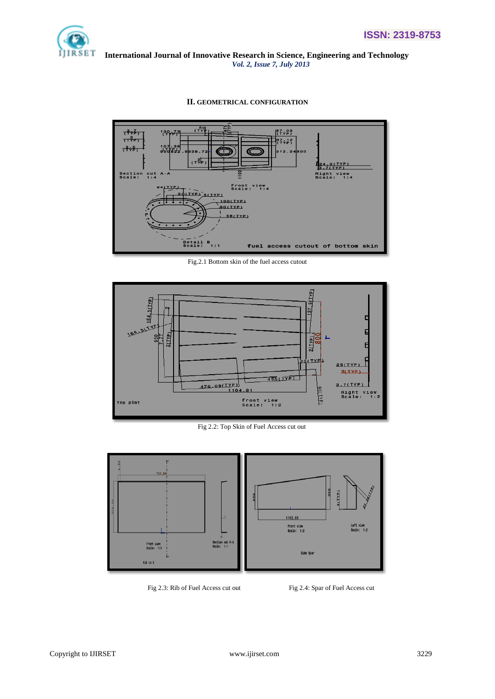

#### **II. GEOMETRICAL CONFIGURATION**



Fig.2.1 Bottom skin of the fuel access cutout



Fig 2.2: Top Skin of Fuel Access cut out



Fig 2.3: Rib of Fuel Access cut out Fig 2.4: Spar of Fuel Access cut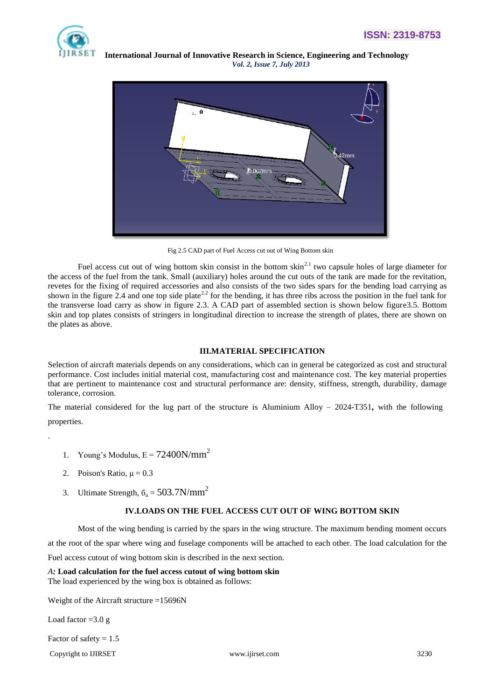

 **International Journal of Innovative Research in Science, Engineering and Technology**  *Vol. 2, Issue 7, July 2013*



Fig 2.5 CAD part of Fuel Access cut out of Wing Bottom skin

Fuel access cut out of wing bottom skin consist in the bottom skin<sup>2.1</sup> two capsule holes of large diameter for the access of the fuel from the tank. Small (auxiliary) holes around the cut outs of the tank are made for the revitation, revetes for the fixing of required accessories and also consists of the two sides spars for the bending load carrying as shown in the figure 2.4 and one top side plate<sup>2.2</sup> for the bending, it has three ribs across the position in the fuel tank for the transverse load carry as show in figure 2.3. A CAD part of assembled section is shown below figure3.5. Bottom skin and top plates consists of stringers in longitudinal direction to increase the strength of plates, there are shown on the plates as above.

#### **III.MATERIAL SPECIFICATION**

Selection of aircraft materials depends on any considerations, which can in general be categorized as cost and structural performance. Cost includes initial material cost, manufacturing cost and maintenance cost. The key material properties that are pertinent to maintenance cost and structural performance are: density, stiffness, strength, durability, damage tolerance, corrosion.

The material considered for the lug part of the structure is Aluminium Alloy – 2024-T351**,** with the following properties.

- 1. Young's Modulus,  $E = 72400N/mm^2$
- 2. Poison's Ratio,  $\mu = 0.3$

.

3. Ultimate Strength,  $\delta_u = 503.7 \text{N/mm}^2$ 

# **IV.LOADS ON THE FUEL ACCESS CUT OUT OF WING BOTTOM SKIN**

Most of the wing bending is carried by the spars in the wing structure. The maximum bending moment occurs at the root of the spar where wing and fuselage components will be attached to each other. The load calculation for the Fuel access cutout of wing bottom skin is described in the next section.

# *A:* **Load calculation for the fuel access cutout of wing bottom skin**

The load experienced by the wing box is obtained as follows:

Weight of the Aircraft structure =15696N

Load factor  $=3.0 g$ 

Factor of safety  $= 1.5$ 

Copyright to IJIRSET [www.ijirset.com](http://www.ijirset.com/) 3230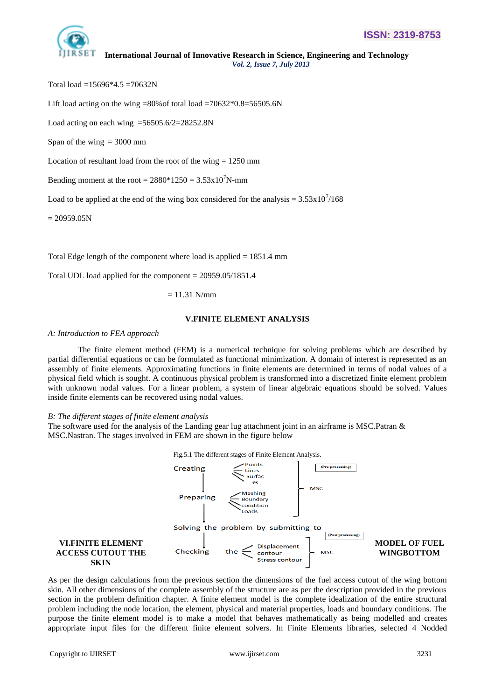

Total load =15696\*4.5 = 70632N

Lift load acting on the wing =80% of total load =70632 $*0.8$ =56505.6N

Load acting on each wing =56505.6/2=28252.8N

Span of the wing  $= 3000$  mm

Location of resultant load from the root of the wing  $= 1250$  mm

Bending moment at the root =  $2880*1250 = 3.53x10^7$ N-mm

Load to be applied at the end of the wing box considered for the analysis =  $3.53 \times 10^{7}/168$ 

 $= 20959.05N$ 

Total Edge length of the component where load is applied = 1851.4 mm

Total UDL load applied for the component = 20959.05/1851.4

 $= 11.31$  N/mm

#### **V.FINITE ELEMENT ANALYSIS**

# *A: Introduction to FEA approach*

The finite element method (FEM) is a numerical technique for solving problems which are described by partial differential equations or can be formulated as functional minimization. A domain of interest is represented as an assembly of finite elements. Approximating functions in finite elements are determined in terms of nodal values of a physical field which is sought. A continuous physical problem is transformed into a discretized finite element problem with unknown nodal values. For a linear problem, a system of linear algebraic equations should be solved. Values inside finite elements can be recovered using nodal values.

#### *B: The different stages of finite element analysis*

The software used for the analysis of the Landing gear lug attachment joint in an airframe is MSC. Patran  $\&$ MSC.Nastran. The stages involved in FEM are shown in the figure below



As per the design calculations from the previous section the dimensions of the fuel access cutout of the wing bottom skin. All other dimensions of the complete assembly of the structure are as per the description provided in the previous section in the problem definition chapter. A finite element model is the complete idealization of the entire structural problem including the node location, the element, physical and material properties, loads and boundary conditions. The purpose the finite element model is to make a model that behaves mathematically as being modelled and creates appropriate input files for the different finite element solvers. In Finite Elements libraries, selected 4 Nodded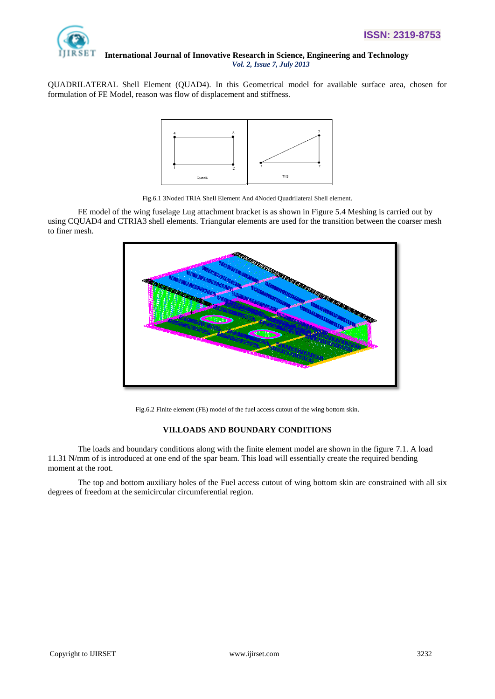

QUADRILATERAL Shell Element (QUAD4). In this Geometrical model for available surface area, chosen for formulation of FE Model, reason was flow of displacement and stiffness.



Fig.6.1 3Noded TRIA Shell Element And 4Noded Quadrilateral Shell element.

FE model of the wing fuselage Lug attachment bracket is as shown in Figure 5.4 Meshing is carried out by using CQUAD4 and CTRIA3 shell elements. Triangular elements are used for the transition between the coarser mesh to finer mesh.



Fig.6.2 Finite element (FE) model of the fuel access cutout of the wing bottom skin.

# **VII.LOADS AND BOUNDARY CONDITIONS**

The loads and boundary conditions along with the finite element model are shown in the figure 7.1. A load 11.31 N/mm of is introduced at one end of the spar beam. This load will essentially create the required bending moment at the root.

The top and bottom auxiliary holes of the Fuel access cutout of wing bottom skin are constrained with all six degrees of freedom at the semicircular circumferential region.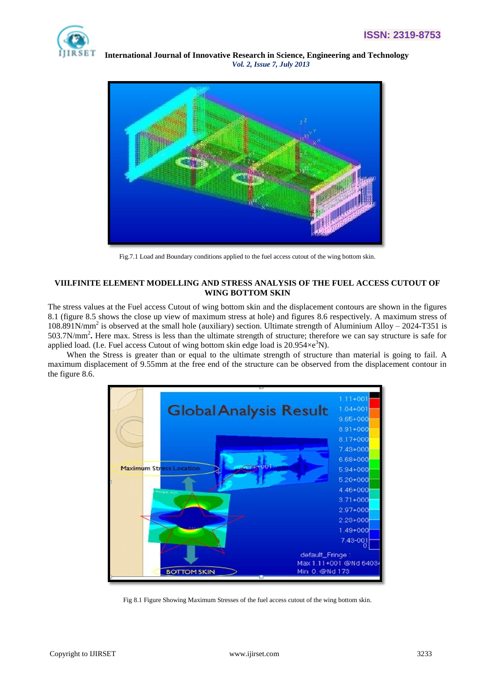



Fig.7.1 Load and Boundary conditions applied to the fuel access cutout of the wing bottom skin.

# **VIII.FINITE ELEMENT MODELLING AND STRESS ANALYSIS OF THE FUEL ACCESS CUTOUT OF WING BOTTOM SKIN**

The stress values at the Fuel access Cutout of wing bottom skin and the displacement contours are shown in the figures 8.1 (figure 8.5 shows the close up view of maximum stress at hole) and figures 8.6 respectively. A maximum stress of 108.891N/mm<sup>2</sup> is observed at the small hole (auxiliary) section. Ultimate strength of Aluminium Alloy – 2024-T351 is 503.7N/mm<sup>2</sup> **.** Here max. Stress is less than the ultimate strength of structure; therefore we can say structure is safe for applied load. (I.e. Fuel access Cutout of wing bottom skin edge load is  $20.954 \times e^{3}N$ ).

When the Stress is greater than or equal to the ultimate strength of structure than material is going to fail. A maximum displacement of 9.55mm at the free end of the structure can be observed from the displacement contour in the figure 8.6.



Fig 8.1 Figure Showing Maximum Stresses of the fuel access cutout of the wing bottom skin.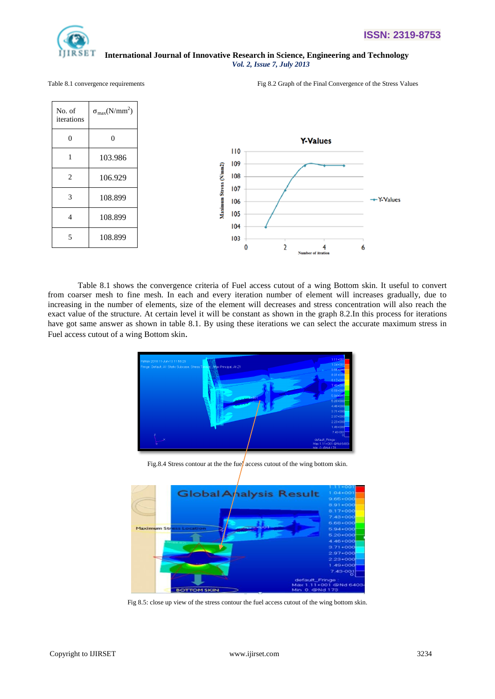

 $\mathsf{r}$ 

#### **International Journal of Innovative Research in Science, Engineering and Technology**  *Vol. 2, Issue 7, July 2013*

Table 8.1 convergence requirements Fig 8.2 Graph of the Final Convergence of the Stress Values

| No. of<br>iterations | $\sigma_{\text{max}}(N/mm^2)$ |                        |            |  |                 |   |           |
|----------------------|-------------------------------|------------------------|------------|--|-----------------|---|-----------|
| $\mathbf{0}$         | $\mathbf{0}$                  |                        |            |  | <b>Y-Values</b> |   |           |
| 1                    | 103.986                       |                        | 110<br>109 |  |                 |   |           |
| $\overline{2}$       | 106.929                       |                        | 108        |  |                 |   |           |
| 3                    | 108.899                       | Maximum Stress (N/mm2) | 107<br>106 |  |                 |   | +Y-Values |
| $\overline{4}$       | 108.899                       |                        | 105<br>104 |  |                 |   |           |
| 5                    | 108.899                       |                        | 103        |  |                 |   |           |
|                      |                               |                        |            |  |                 | ۰ |           |

Table 8.1 shows the convergence criteria of Fuel access cutout of a wing Bottom skin. It useful to convert from coarser mesh to fine mesh. In each and every iteration number of element will increases gradually, due to increasing in the number of elements, size of the element will decreases and stress concentration will also reach the exact value of the structure. At certain level it will be constant as shown in the graph 8.2.In this process for iterations have got same answer as shown in table 8.1. By using these iterations we can select the accurate maximum stress in Fuel access cutout of a wing Bottom skin.



Fig.8.4 Stress contour at the the fue<sup>l</sup> access cutout of the wing bottom skin.



Fig 8.5: close up view of the stress contour the fuel access cutout of the wing bottom skin.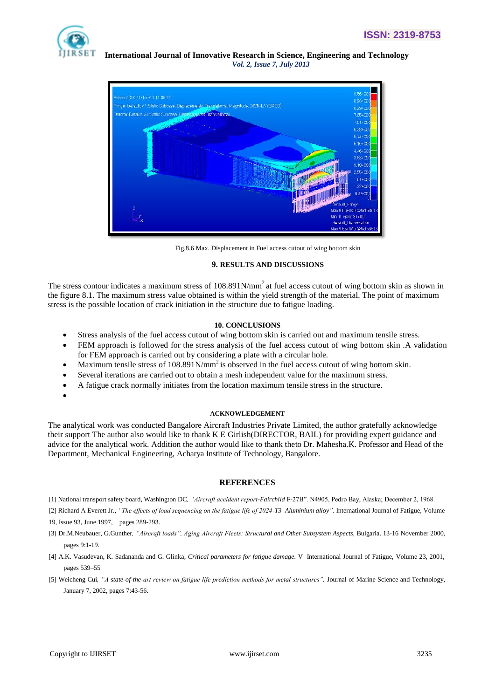



Fig.8.6 Max. Displacement in Fuel access cutout of wing bottom skin

#### **9. RESULTS AND DISCUSSIONS**

The stress contour indicates a maximum stress of  $108.891N/mm<sup>2</sup>$  at fuel access cutout of wing bottom skin as shown in the figure 8.1. The maximum stress value obtained is within the yield strength of the material. The point of maximum stress is the possible location of crack initiation in the structure due to fatigue loading.

#### **10. CONCLUSIONS**

- Stress analysis of the fuel access cutout of wing bottom skin is carried out and maximum tensile stress.
- FEM approach is followed for the stress analysis of the fuel access cutout of wing bottom skin .A validation for FEM approach is carried out by considering a plate with a circular hole.
- Maximum tensile stress of 108.891N/mm<sup>2</sup> is observed in the fuel access cutout of wing bottom skin.
- Several iterations are carried out to obtain a mesh independent value for the maximum stress.
- A fatigue crack normally initiates from the location maximum tensile stress in the structure.
- $\bullet$

#### **ACKNOWLEDGEMENT**

The analytical work was conducted Bangalore Aircraft Industries Private Limited, the author gratefully acknowledge their support The author also would like to thank K E Girlish(DIRECTOR, BAIL) for providing expert guidance and advice for the analytical work. Addition the author would like to thank theto Dr. Mahesha.K. Professor and Head of the Department, Mechanical Engineering, Acharya Institute of Technology, Bangalore.

#### **REFERENCES**

[1] National transport safety board, Washington DC*, "Aircraft accident report-Fairchild* F-27B". N4905, Pedro Bay, Alaska; December 2, 1968.

- [2] Richard A Everett Jr., "The effects of load sequencing on the fatigue life of 2024-T3 Aluminium alloy". International Journal of Fatigue, Volume 19, Issue 93, June 1997, pages 289-293.
- [3] Dr.M.Neubauer, G.Gunther*, "Aircraft loads", Aging Aircraft Fleets: Structural and Other Subsystem Aspects,* Bulgaria. 13-16 November 2000, pages 9:1-19.
- [4] A.K. Vasudevan, K. Sadananda and G. Glinka*, Critical parameters for fatigue damage.* V International Journal of Fatigue, Volume 23, 2001, pages 539–55
- [5] Weicheng Cui, "A state-of-the-art review on fatigue life prediction methods for metal structures". Journal of Marine Science and Technology, January 7, 2002, pages 7:43-56.